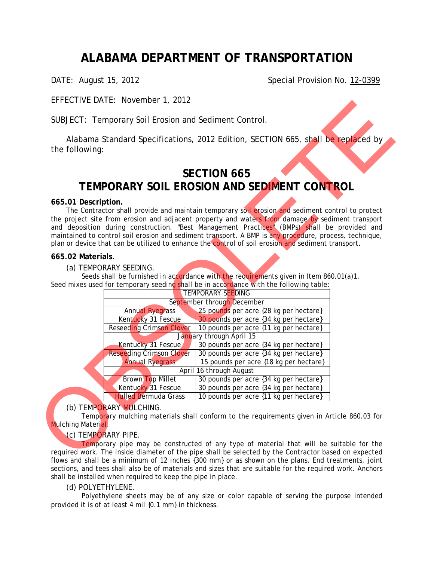# **ALABAMA DEPARTMENT OF TRANSPORTATION**

DATE: August 15, 2012 Case Contract Contract Contract Contract Contract Contract Contract Contract Contract Contract Contract Contract Contract Contract Contract Contract Contract Contract Contract Contract Contract Contra

EFFECTIVE DATE: November 1, 2012

# **SECTION 665 TEMPORARY SOIL EROSION AND SEDIMENT CONTROL**

## **665.01 Description.**

## **665.02 Materials.**

|                     |                                                       | Alabama Standard Specifications, 2012 Edition, SECTION 665, shall be replaced by                       |  |
|---------------------|-------------------------------------------------------|--------------------------------------------------------------------------------------------------------|--|
| the following:      |                                                       |                                                                                                        |  |
|                     |                                                       |                                                                                                        |  |
|                     |                                                       | <b>SECTION 665</b>                                                                                     |  |
|                     |                                                       | TEMPORARY SOIL EROSION AND SEDIMENT CONTROL                                                            |  |
| 665.01 Description. |                                                       |                                                                                                        |  |
|                     |                                                       | The Contractor shall provide and maintain temporary soil erosion and sediment control to protect       |  |
|                     |                                                       | the project site from erosion and adjacent property and waters from damage by sediment transport       |  |
|                     |                                                       | and deposition during construction. "Best Management Practices" (BMPs) shall be provided and           |  |
|                     |                                                       | maintained to control soil erosion and sediment transport. A BMP is any procedure, process, technique, |  |
|                     |                                                       | plan or device that can be utilized to enhance the control of soil erosion and sediment transport.     |  |
| 665.02 Materials.   |                                                       |                                                                                                        |  |
|                     | (a) TEMPORARY SEEDING.                                |                                                                                                        |  |
|                     |                                                       | Seeds shall be furnished in accordance with the requirements given in Item 860.01(a)1.                 |  |
|                     |                                                       |                                                                                                        |  |
|                     |                                                       |                                                                                                        |  |
|                     |                                                       | Seed mixes used for temporary seeding shall be in accordance with the following table:                 |  |
|                     |                                                       | TEMPORARY SEEDING                                                                                      |  |
|                     |                                                       | September through December                                                                             |  |
|                     | <b>Annual Ryegrass</b>                                | 25 pounds per acre {28 kg per hectare}                                                                 |  |
|                     | Kentucky 31 Fescue<br><b>Reseeding Crimson Clover</b> | 30 pounds per acre {34 kg per hectare}                                                                 |  |
|                     |                                                       | 10 pounds per acre {11 kg per hectare}<br>January through April 15                                     |  |
|                     | Kentucky 31 Fescue                                    | 30 pounds per acre {34 kg per hectare}                                                                 |  |
|                     | <b>Reseeding Crimson Clover</b>                       | 30 pounds per acre {34 kg per hectare}                                                                 |  |
|                     | <b>Annual Ryegrass</b>                                | 15 pounds per acre {18 kg per hectare}                                                                 |  |
|                     |                                                       | April 16 through August                                                                                |  |
|                     | <b>Brown Top Millet</b>                               | 30 pounds per acre {34 kg per hectare}                                                                 |  |
|                     | Kentucky 31 Fescue                                    | 30 pounds per acre {34 kg per hectare}                                                                 |  |
|                     | <b>Hulled Bermuda Grass</b>                           | 10 pounds per acre {11 kg per hectare}                                                                 |  |
|                     | (b) TEMPORARY MULCHING.                               |                                                                                                        |  |
|                     |                                                       | Temporary mulching materials shall conform to the requirements given in Article 860.03 for             |  |
| Mulching Material.  |                                                       |                                                                                                        |  |

# (b) TEMPORARY MULCHING.

# (c) TEMPORARY PIPE.

 Temporary pipe may be constructed of any type of material that will be suitable for the required work. The inside diameter of the pipe shall be selected by the Contractor based on expected flows and shall be a minimum of 12 inches {300 mm} or as shown on the plans. End treatments, joint sections, and tees shall also be of materials and sizes that are suitable for the required work. Anchors shall be installed when required to keep the pipe in place.

# (d) POLYETHYLENE.

 Polyethylene sheets may be of any size or color capable of serving the purpose intended provided it is of at least 4 mil {0.1 mm} in thickness.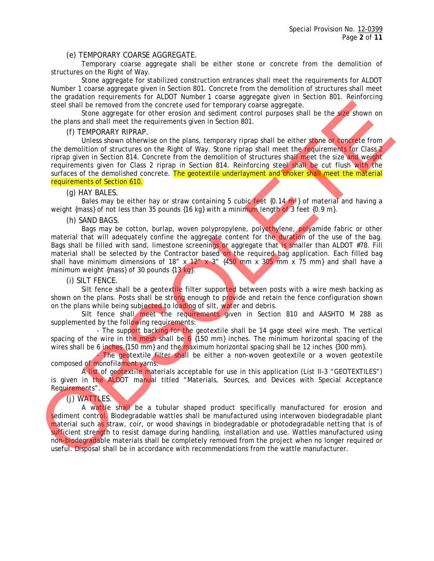#### (e) TEMPORARY COARSE AGGREGATE.

 Temporary coarse aggregate shall be either stone or concrete from the demolition of structures on the Right of Way.

 Stone aggregate for stabilized construction entrances shall meet the requirements for ALDOT Number 1 coarse aggregate given in Section 801. Concrete from the demolition of structures shall meet the gradation requirements for ALDOT Number 1 coarse aggregate given in Section 801. Reinforcing steel shall be removed from the concrete used for temporary coarse aggregate.

Stone aggregate for other erosion and sediment control purposes shall be the size shown on the plans and shall meet the requirements given in Section 801.

#### (f) TEMPORARY RIPRAP.

Unless shown otherwise on the plans, temporary riprap shall be either stone or concrete from the demolition of structures on the Right of Way. Stone riprap shall meet the requirements for Class 2 riprap given in Section 814. Concrete from the demolition of structures shall meet the size and weight requirements given for Class 2 riprap in Section 814. Reinforcing steel shall be cut flush with the surfaces of the demolished concrete. The geotextile underlayment and choker shall meet the material requirements of Section 610.

(g) HAY BALES.

Bales may be either hay or straw containing 5 cubic feet  $\{0.14 \text{ m}\}$  of material and having a weight {mass} of not less than 35 pounds {16 kg} with a minimum length of 3 feet {0.9 m}.

(h) SAND BAGS.

Bags may be cotton, burlap, woven polypropylene, polyethylene, polyamide fabric or other material that will adequately confine the aggregate content for the duration of the use of the bag. Bags shall be filled with sand, limestone screenings or aggregate that is smaller than ALDOT #78. Fill material shall be selected by the Contractor based on the required bag application. Each filled bag shall have minimum dimensions of 18" x 12" x 3"  $\{450 \text{ mm} \times 305 \text{ mm} \times 75 \text{ mm}\}$  and shall have a minimum weight {mass} of 30 pounds  $\{13 \text{ kg}\}.$ 

(i) SILT FENCE.

 Silt fence shall be a geotextile filter supported between posts with a wire mesh backing as shown on the plans. Posts shall be strong enough to provide and retain the fence configuration shown on the plans while being subjected to loading of silt, water and debris.

 Silt fence shall meet the requirements given in Section 810 and AASHTO M 288 as supplemented by the following requirements:

- The support backing for the geotextile shall be 14 gage steel wire mesh. The vertical spacing of the wire in the mesh shall be  $6 \{150 \text{ mm}\}\$  inches. The minimum horizontal spacing of the wires shall be 6 inches  $\{150 \text{ mm}\}\$  and the maximum horizontal spacing shall be 12 inches  $\{300 \text{ mm}\}\$ .

The geotextile filter shall be either a non-woven geotextile or a woven geotextile composed of monofilament yarns.

 A list of geotextile materials acceptable for use in this application (List II-3 "GEOTEXTILES") is given in the ALDOT manual titled "Materials, Sources, and Devices with Special Acceptance Requirements".

#### (j) WATTLES.

 A wattle shall be a tubular shaped product specifically manufactured for erosion and sediment control. Biodegradable wattles shall be manufactured using interwoven biodegradable plant material such as straw, coir, or wood shavings in biodegradable or photodegradable netting that is of sufficient strength to resist damage during handling, installation and use. Wattles manufactured using non-biodegradable materials shall be completely removed from the project when no longer required or useful. Disposal shall be in accordance with recommendations from the wattle manufacturer. stoci shall be removed from the concrete used for temporary costs with a like size shown on<br>the plane and shall meet the requirements given in Section 801.<br>
Unter Solem and Section 801 and the requirements given in Sectio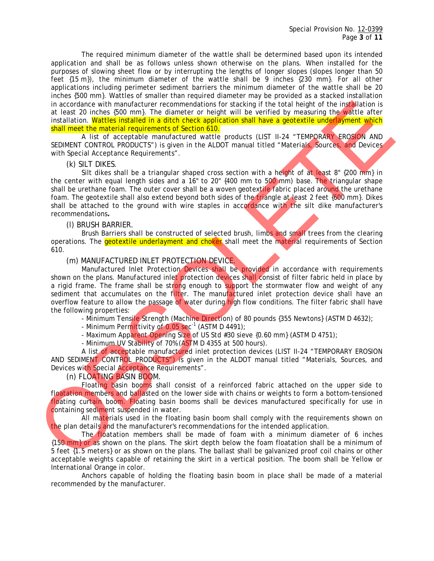The required minimum diameter of the wattle shall be determined based upon its intended application and shall be as follows unless shown otherwise on the plans. When installed for the purposes of slowing sheet flow or by interrupting the lengths of longer slopes (slopes longer than 50 feet {15 m}), the minimum diameter of the wattle shall be 9 inches {230 mm}. For all other applications including perimeter sediment barriers the minimum diameter of the wattle shall be 20 inches {500 mm}. Wattles of smaller than required diameter may be provided as a stacked installation in accordance with manufacturer recommendations for stacking if the total height of the installation is at least 20 inches {500 mm}. The diameter or height will be verified by measuring the wattle after installation. Wattles installed in a ditch check application shall have a geotextile underlayment which shall meet the material requirements of Section 610.

 A list of acceptable manufactured wattle products (LIST II-24 "TEMPORARY EROSION AND SEDIMENT CONTROL PRODUCTS") is given in the ALDOT manual titled "Materials, Sources, and Devices with Special Acceptance Requirements".

## (k) SILT DIKES.

Silt dikes shall be a triangular shaped cross section with a height of at least 8" {200 mm} in the center with equal length sides and a 16" to 20"  $\{400 \text{ mm} \}$  to 500 mm) base. The triangular shape shall be urethane foam. The outer cover shall be a woven geotextile fabric placed around the urethane foam. The geotextile shall also extend beyond both sides of the triangle at least 2 feet {600 mm}. Dikes shall be attached to the ground with wire staples in accordance with the silt dike manufacturer's recommendations**.**  In a occident the manufactured recommendations for stacking if the total helpin of the installation is<br>the latter and the manufacture recommendations for stacking it in the installation is<br>the planetary of the manufacture

## (l) BRUSH BARRIER.

 Brush Barriers shall be constructed of selected brush, limbs and small trees from the clearing operations. The *geotextile underlayment and choker* shall meet the material requirements of Section 610.

## (m) MANUFACTURED INLET PROTECTION DEVICE.

Manufactured Inlet Protection Devices shall be provided in accordance with requirements shown on the plans. Manufactured inlet protection devices shall consist of filter fabric held in place by a rigid frame. The frame shall be strong enough to support the stormwater flow and weight of any sediment that accumulates on the filter. The manufactured inlet protection device shall have an overflow feature to allow the passage of water during high flow conditions. The filter fabric shall have the following properties:

- Minimum Tensile Strength (Machine Direction) of 80 pounds {355 Newtons} (ASTM D 4632);

- Minimum Permittivity of  $0.05$  sec<sup>-1</sup> (ASTM D 4491);

- Maximum Apparent Opening Size of US Std #30 sieve {0.60 mm} (ASTM D 4751);
- Minimum UV Stability of 70% (ASTM D 4355 at 500 hours).

 A list of acceptable manufactured inlet protection devices (LIST II-24 "TEMPORARY EROSION AND SEDIMENT CONTROL PRODUCTS") is given in the ALDOT manual titled "Materials, Sources, and Devices with Special Acceptance Requirements".

(n) FLOATING BASIN BOOM.

Floating basin booms shall consist of a reinforced fabric attached on the upper side to floatation members and ballasted on the lower side with chains or weights to form a bottom-tensioned floating curtain boom. Floating basin booms shall be devices manufactured specifically for use in containing sediment suspended in water.

All materials used in the floating basin boom shall comply with the requirements shown on the plan details and the manufacturer's recommendations for the intended application.

 The floatation members shall be made of foam with a minimum diameter of 6 inches {150 mm} or as shown on the plans. The skirt depth below the foam floatation shall be a minimum of 5 feet {1.5 meters} or as shown on the plans. The ballast shall be galvanized proof coil chains or other acceptable weights capable of retaining the skirt in a vertical position. The boom shall be Yellow or International Orange in color.

 Anchors capable of holding the floating basin boom in place shall be made of a material recommended by the manufacturer.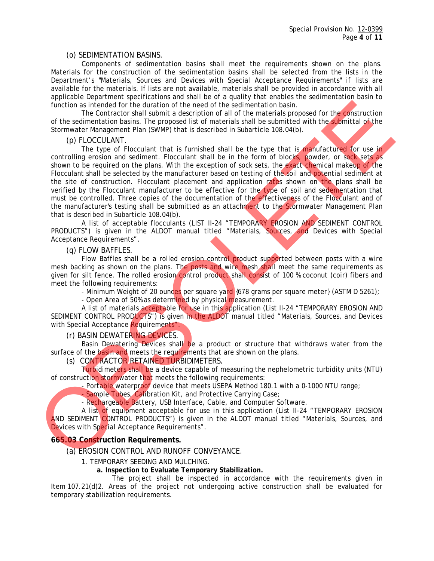#### (o) SEDIMENTATION BASINS.

 Components of sedimentation basins shall meet the requirements shown on the plans. Materials for the construction of the sedimentation basins shall be selected from the lists in the Department's "Materials, Sources and Devices with Special Acceptance Requirements" if lists are available for the materials. If lists are not available, materials shall be provided in accordance with all applicable Department specifications and shall be of a quality that enables the sedimentation basin to function as intended for the duration of the need of the sedimentation basin.

 The Contractor shall submit a description of all of the materials proposed for the construction of the sedimentation basins. The proposed list of materials shall be submitted with the submittal of the Stormwater Management Plan (SWMP) that is described in Subarticle 108.04(b).

## (p) FLOCCULANT.

The type of Flocculant that is furnished shall be the type that is manufactured for use in controlling erosion and sediment. Flocculant shall be in the form of blocks, powder, or sock sets as shown to be required on the plans. With the exception of sock sets, the exact chemical makeup of the Flocculant shall be selected by the manufacturer based on testing of the soil and potential sediment at the site of construction. Flocculant placement and application rates shown on the plans shall be verified by the Flocculant manufacturer to be effective for the type of soil and sedementation that must be controlled. Three copies of the documentation of the effectiveness of the Flocculant and of the manufacturer's testing shall be submitted as an attachment to the Stormwater Management Plan that is described in Subarticle 108.04(b). trunction is introduction to the notice of the significant of the control of the material to the significant of the control of the significant of the significant of the significant of the significant of the significant of

 A list of acceptable flocculants (LIST II-24 "TEMPORARY EROSION AND SEDIMENT CONTROL PRODUCTS") is given in the ALDOT manual titled "Materials, Sources, and Devices with Special Acceptance Requirements".

## (q) FLOW BAFFLES.

Flow Baffles shall be a rolled erosion control product supported between posts with a wire mesh backing as shown on the plans. The posts and wire mesh shall meet the same requirements as given for silt fence. The rolled erosion control product shall consist of 100 % coconut (coir) fibers and meet the following requirements:

- Minimum Weight of 20 ounces per square yard {678 grams per square meter} (ASTM D 5261);

- Open Area of 50% as determined by physical measurement.

 A list of materials acceptable for use in this application (List II-24 "TEMPORARY EROSION AND SEDIMENT CONTROL PRODUCTS") is given in the ALDOT manual titled "Materials, Sources, and Devices with Special Acceptance Requirements"

#### (r) BASIN DEWATERING DEVICES.

Basin Dewatering Devices shall be a product or structure that withdraws water from the surface of the basin and meets the requirements that are shown on the plans.

#### (s) CONTRACTOR RETAINED TURBIDIMETERS.

 Turbidimeters shall be a device capable of measuring the nephelometric turbidity units (NTU) of construction stormwater that meets the following requirements:

- Portable waterproof device that meets USEPA Method 180.1 with a 0-1000 NTU range;

- Sample Tubes, Calibration Kit, and Protective Carrying Case;

- Rechargeable Battery, USB Interface, Cable, and Computer Software.

 A list of equipment acceptable for use in this application (List II-24 "TEMPORARY EROSION AND SEDIMENT CONTROL PRODUCTS") is given in the ALDOT manual titled "Materials, Sources, and Devices with Special Acceptance Requirements".

## **665.03 Construction Requirements.**

(a) EROSION CONTROL AND RUNOFF CONVEYANCE.

- 1. TEMPORARY SEEDING AND MULCHING.
	- **a. Inspection to Evaluate Temporary Stabilization.**

 The project shall be inspected in accordance with the requirements given in Item 107.21(d)2. Areas of the project not undergoing active construction shall be evaluated for temporary stabilization requirements.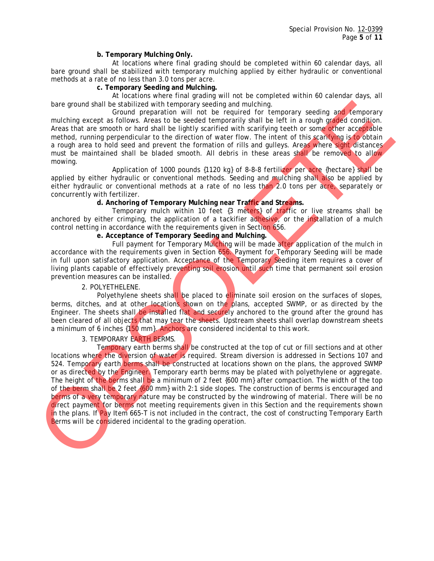#### **b. Temporary Mulching Only.**

 At locations where final grading should be completed within 60 calendar days, all bare ground shall be stabilized with temporary mulching applied by either hydraulic or conventional methods at a rate of no less than 3.0 tons per acre.

#### **c. Temporary Seeding and Mulching.**

 At locations where final grading will not be completed within 60 calendar days, all bare ground shall be stabilized with temporary seeding and mulching.

 Ground preparation will not be required for temporary seeding and temporary mulching except as follows. Areas to be seeded temporarily shall be left in a rough graded condition. Areas that are smooth or hard shall be lightly scarified with scarifying teeth or some other acceptable method, running perpendicular to the direction of water flow. The intent of this scarifying is to obtain a rough area to hold seed and prevent the formation of rills and gulleys. Areas where sight distances must be maintained shall be bladed smooth. All debris in these areas shall be removed to allow. mowing.

 Application of 1000 pounds {1120 kg} of 8-8-8 fertilizer per acre {hectare} shall be applied by either hydraulic or conventional methods. Seeding and mulching shall also be applied by either hydraulic or conventional methods at a rate of no less than 2.0 tons per acre, separately or concurrently with fertilizer.

## **d. Anchoring of Temporary Mulching near Traffic and Streams.**

 Temporary mulch within 10 feet {3 meters} of traffic or live streams shall be anchored by either crimping, the application of a tackifier adhesive, or the installation of a mulch control netting in accordance with the requirements given in Section 656.

#### **e. Acceptance of Temporary Seeding and Mulching.**

Full payment for Temporary Mulching will be made after application of the mulch in accordance with the requirements given in Section 656. Payment for Temporary Seeding will be made in full upon satisfactory application. Acceptance of the Temporary Seeding item requires a cover of living plants capable of effectively preventing soil erosion until such time that permanent soil erosion prevention measures can be installed.

#### 2. POLYETHELENE.

Polyethylene sheets shall be placed to eliminate soil erosion on the surfaces of slopes, berms, ditches, and at other locations shown on the plans, accepted SWMP, or as directed by the Engineer. The sheets shall be installed flat and securely anchored to the ground after the ground has been cleared of all objects that may tear the sheets. Upstream sheets shall overlap downstream sheets a minimum of 6 inches {150 mm}. Anchors are considered incidental to this work.

## 3. TEMPORARY EARTH BERMS.

 Temporary earth berms shall be constructed at the top of cut or fill sections and at other locations where the diversion of water is required. Stream diversion is addressed in Sections 107 and 524. Temporary earth berms shall be constructed at locations shown on the plans, the approved SWMP or as directed by the Engineer. Temporary earth berms may be plated with polyethylene or aggregate. The height of the berms shall be a minimum of 2 feet {600 mm} after compaction. The width of the top of the berm shall be 2 feet {600 mm} with 2:1 side slopes. The construction of berms is encouraged and berms of a very temporary nature may be constructed by the windrowing of material. There will be no direct payment for berms not meeting requirements given in this Section and the requirements shown in the plans. If Pay Item 665-T is not included in the contract, the cost of constructing Temporary Earth Berms will be considered incidental to the grading operation. bare ground shall be stabilized with temporary selection and multiple in the proportional cocot is follow. Accos to be society and be the stabilized multiple occurs in the stabilized multiple occurs in the stabilized mult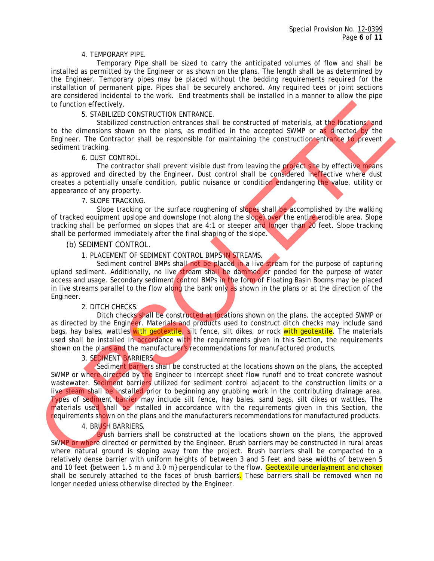#### 4. TEMPORARY PIPE.

 Temporary Pipe shall be sized to carry the anticipated volumes of flow and shall be installed as permitted by the Engineer or as shown on the plans. The length shall be as determined by the Engineer. Temporary pipes may be placed without the bedding requirements required for the installation of permanent pipe. Pipes shall be securely anchored. Any required tees or joint sections are considered incidental to the work. End treatments shall be installed in a manner to allow the pipe to function effectively.

#### 5. STABILIZED CONSTRUCTION ENTRANCE.

Stabilized construction entrances shall be constructed of materials, at the locations, and to the dimensions shown on the plans, as modified in the accepted SWMP or as directed by the Engineer. The Contractor shall be responsible for maintaining the construction entrance to prevent sediment tracking.

## 6. DUST CONTROL.

The contractor shall prevent visible dust from leaving the project site by effective means as approved and directed by the Engineer. Dust control shall be considered ineffective where dust creates a potentially unsafe condition, public nuisance or condition endangering the value, utility or appearance of any property.

## 7. SLOPE TRACKING.

Slope tracking or the surface roughening of slopes shall be accomplished by the walking of tracked equipment upslope and downslope (not along the slope) over the entire erodible area. Slope tracking shall be performed on slopes that are 4:1 or steeper and longer than 20 feet. Slope tracking shall be performed immediately after the final shaping of the slope.

## (b) SEDIMENT CONTROL.

## 1. PLACEMENT OF SEDIMENT CONTROL BMPS IN STREAMS.

Sediment control BMPs shall not be placed in a live stream for the purpose of capturing upland sediment. Additionally, no live stream shall be dammed or ponded for the purpose of water access and usage. Secondary sediment control BMPs in the form of Floating Basin Booms may be placed in live streams parallel to the flow along the bank only as shown in the plans or at the direction of the Engineer.

#### 2. DITCH CHECKS.

 Ditch checks shall be constructed at locations shown on the plans, the accepted SWMP or as directed by the Engineer. Materials and products used to construct ditch checks may include sand bags, hay bales, wattles with geotextile, silt fence, silt dikes, or rock with geotextile. The materials used shall be installed in accordance with the requirements given in this Section, the requirements shown on the plans and the manufacturer's recommendations for manufactured products.

## 3. SEDIMENT BARRIERS.

 Sediment barriers shall be constructed at the locations shown on the plans, the accepted SWMP or where directed by the Engineer to intercept sheet flow runoff and to treat concrete washout wastewater. Sediment barriers utilized for sediment control adjacent to the construction limits or a live steam shall be installed prior to beginning any grubbing work in the contributing drainage area. Types of sediment barrier may include silt fence, hay bales, sand bags, silt dikes or wattles. The materials used shall be installed in accordance with the requirements given in this Section, the requirements shown on the plans and the manufacturer's recommendations for manufactured products. to function frechology. B. The means of the statistical constrained means and the constrained mean of the statistical constrained mean of the mean of the mean of the mean of the mean of the mean of the mean of the mean of

## 4. BRUSH BARRIERS.

 Brush barriers shall be constructed at the locations shown on the plans, the approved SWMP or where directed or permitted by the Engineer. Brush barriers may be constructed in rural areas where natural ground is sloping away from the project. Brush barriers shall be compacted to a relatively dense barrier with uniform heights of between 3 and 5 feet and base widths of between 5 and 10 feet {between 1.5 m and 3.0 m} perpendicular to the flow. Geotextile underlayment and choker shall be securely attached to the faces of brush barriers. These barriers shall be removed when no longer needed unless otherwise directed by the Engineer.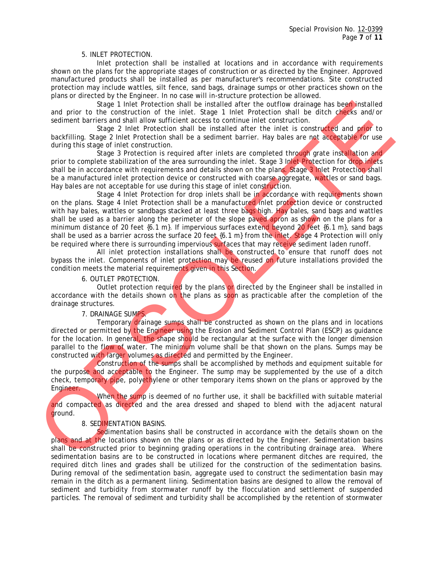#### 5. INLET PROTECTION.

 Inlet protection shall be installed at locations and in accordance with requirements shown on the plans for the appropriate stages of construction or as directed by the Engineer. Approved manufactured products shall be installed as per manufacturer's recommendations. Site constructed protection may include wattles, silt fence, sand bags, drainage sumps or other practices shown on the plans or directed by the Engineer. In no case will in-structure protection be allowed.

Stage 1 Inlet Protection shall be installed after the outflow drainage has been installed and prior to the construction of the inlet. Stage 1 Inlet Protection shall be ditch checks and/or sediment barriers and shall allow sufficient access to continue inlet construction.

Stage 2 Inlet Protection shall be installed after the inlet is constructed and prior to backfilling. Stage 2 Inlet Protection shall be a sediment barrier. Hay bales are not acceptable for use during this stage of inlet construction.

Stage 3 Protection is required after inlets are completed through grate installation and prior to complete stabilization of the area surrounding the inlet. Stage 3 Inlet Protection for drop inlets shall be in accordance with requirements and details shown on the plans. Stage 3 Inlet Protection shall be a manufactured inlet protection device or constructed with coarse aggregate, wattles or sand bags. Hay bales are not acceptable for use during this stage of inlet construction.

 Stage 4 Inlet Protection for drop inlets shall be in accordance with requirements shown on the plans. Stage 4 Inlet Protection shall be a manufactured inlet protection device or constructed with hay bales, wattles or sandbags stacked at least three bags high. Hay bales, sand bags and wattles shall be used as a barrier along the perimeter of the slope paved apron as shown on the plans for a minimum distance of 20 feet  $\{6.1 \text{ m}\}\$ . If impervious surfaces extend beyond 20 feet  $\{6.1 \text{ m}\}\$ , sand bags shall be used as a barrier across the surface 20 feet {6.1 m} from the inlet. Stage 4 Protection will only be required where there is surrounding impervious surfaces that may receive sediment laden runoff. and print to the construction shall be installed after the outflow drained particles are soleny intelled after the soleny and print to the construction and Hall allow stress and solen that is stress and solen that is stre

All inlet protection installations shall be constructed to ensure that runoff does not bypass the inlet. Components of inlet protection may be reused on future installations provided the condition meets the material requirements given in this Section.

#### 6. OUTLET PROTECTION.

Outlet protection required by the plans or directed by the Engineer shall be installed in accordance with the details shown on the plans as soon as practicable after the completion of the drainage structures.

#### 7. DRAINAGE SUMPS.

 Temporary drainage sumps shall be constructed as shown on the plans and in locations directed or permitted by the Engineer using the Erosion and Sediment Control Plan (ESCP) as guidance for the location. In general, the shape should be rectangular at the surface with the longer dimension parallel to the flow of water. The minimum volume shall be that shown on the plans. Sumps may be constructed with larger volumes as directed and permitted by the Engineer.

 Construction of the sumps shall be accomplished by methods and equipment suitable for the purpose and acceptable to the Engineer. The sump may be supplemented by the use of a ditch check, temporary pipe, polyethylene or other temporary items shown on the plans or approved by the Engineer.

When the sump is deemed of no further use, it shall be backfilled with suitable material and compacted as directed and the area dressed and shaped to blend with the adjacent natural ground.

#### 8. SEDIMENTATION BASINS.

Sedimentation basins shall be constructed in accordance with the details shown on the plans and at the locations shown on the plans or as directed by the Engineer. Sedimentation basins shall be constructed prior to beginning grading operations in the contributing drainage area. Where sedimentation basins are to be constructed in locations where permanent ditches are required, the required ditch lines and grades shall be utilized for the construction of the sedimentation basins. During removal of the sedimentation basin, aggregate used to construct the sedimentation basin may remain in the ditch as a permanent lining. Sedimentation basins are designed to allow the removal of sediment and turbidity from stormwater runoff by the flocculation and settlement of suspended particles. The removal of sediment and turbidity shall be accomplished by the retention of stormwater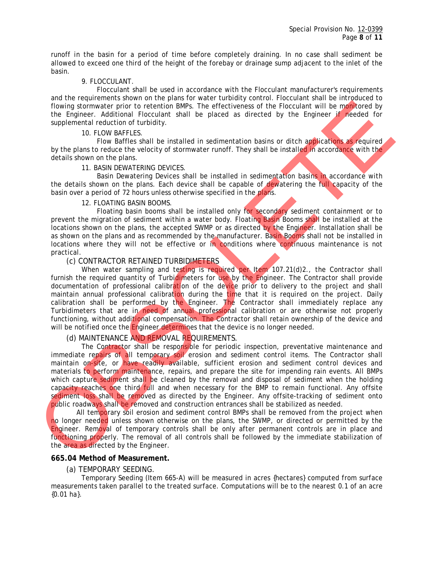runoff in the basin for a period of time before completely draining. In no case shall sediment be allowed to exceed one third of the height of the forebay or drainage sump adjacent to the inlet of the basin.

#### 9. FLOCCULANT.

 Flocculant shall be used in accordance with the Flocculant manufacturer's requirements and the requirements shown on the plans for water turbidity control. Flocculant shall be introduced to flowing stormwater prior to retention BMPs. The effectiveness of the Flocculant will be monitored by the Engineer. Additional Flocculant shall be placed as directed by the Engineer if needed for supplemental reduction of turbidity.

#### 10. FLOW BAFFLES.

Flow Baffles shall be installed in sedimentation basins or ditch applications as required by the plans to reduce the velocity of stormwater runoff. They shall be installed in accordance with the details shown on the plans.

## 11. BASIN DEWATERING DEVICES.

 Basin Dewatering Devices shall be installed in sedimentation basins in accordance with the details shown on the plans. Each device shall be capable of dewatering the full capacity of the basin over a period of 72 hours unless otherwise specified in the plans.

## 12. FLOATING BASIN BOOMS.

 Floating basin booms shall be installed only for secondary sediment containment or to prevent the migration of sediment within a water body. Floating Basin Booms shall be installed at the locations shown on the plans, the accepted SWMP or as directed by the Engineer. Installation shall be as shown on the plans and as recommended by the manufacturer. Basin Booms shall not be installed in locations where they will not be effective or in conditions where continuous maintenance is not practical.

## (c) CONTRACTOR RETAINED TURBIDIMETERS

When water sampling and testing is required per Item 107.21(d)2., the Contractor shall furnish the required quantity of Turbidimeters for use by the Engineer. The Contractor shall provide documentation of professional calibration of the device prior to delivery to the project and shall maintain annual professional calibration during the time that it is required on the project. Daily calibration shall be performed by the Engineer. The Contractor shall immediately replace any Turbidimeters that are in need of annual professional calibration or are otherwise not properly functioning, without additional compensation. The Contractor shall retain ownership of the device and will be notified once the Engineer determines that the device is no longer needed.

## (d) MAINTENANCE AND REMOVAL REQUIREMENTS.

The Contractor shall be responsible for periodic inspection, preventative maintenance and immediate repairs of all temporary soil erosion and sediment control items. The Contractor shall maintain on-site, or have readily available, sufficient erosion and sediment control devices and materials to perform maintenance, repairs, and prepare the site for impending rain events. All BMPs which capture sediment shall be cleaned by the removal and disposal of sediment when the holding capacity reaches one third full and when necessary for the BMP to remain functional. Any offsite sediment loss shall be removed as directed by the Engineer. Any offsite-tracking of sediment onto public roadways shall be removed and construction entrances shall be stabilized as needed. frown stormate prior to energy the prior of the English method in the prior of the couple of the frontier of the english method by the Francesco and the supplemental reading to the intent of the term in the supplemental re

All temporary soil erosion and sediment control BMPs shall be removed from the project when no longer needed unless shown otherwise on the plans, the SWMP, or directed or permitted by the Engineer. Removal of temporary controls shall be only after permanent controls are in place and functioning properly. The removal of all controls shall be followed by the immediate stabilization of the area as directed by the Engineer.

## **665.04 Method of Measurement.**

(a) TEMPORARY SEEDING.

 Temporary Seeding (Item 665-A) will be measured in acres {hectares} computed from surface measurements taken parallel to the treated surface. Computations will be to the nearest 0.1 of an acre {0.01 ha}.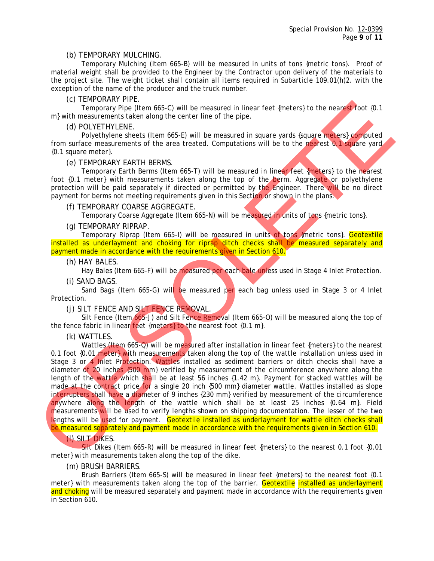#### (b) TEMPORARY MULCHING.

 Temporary Mulching (Item 665-B) will be measured in units of tons {metric tons}. Proof of material weight shall be provided to the Engineer by the Contractor upon delivery of the materials to the project site. The weight ticket shall contain all items required in Subarticle 109.01(h)2. with the exception of the name of the producer and the truck number.

## (c) TEMPORARY PIPE.

 Temporary Pipe (Item 665-C) will be measured in linear feet {meters} to the nearest foot {0.1 m} with measurements taken along the center line of the pipe.

## (d) POLYETHYLENE.

Polyethylene sheets (Item 665-E) will be measured in square yards {square meters} computed from surface measurements of the area treated. Computations will be to the nearest 0.1 square yard {0.1 square meter}.

## (e) TEMPORARY EARTH BERMS.

 Temporary Earth Berms (Item 665-T) will be measured in linear feet {meters} to the nearest foot {0.1 meter} with measurements taken along the top of the berm. Aggregate or polyethylene protection will be paid separately if directed or permitted by the Engineer. There will be no direct payment for berms not meeting requirements given in this Section or shown in the plans.

## (f) TEMPORARY COARSE AGGREGATE.

Temporary Coarse Aggregate (Item 665-N) will be measured in units of tons {metric tons}.

## (g) TEMPORARY RIPRAP.

 Temporary Riprap (Item 665-I) will be measured in units of tons {metric tons}. Geotextile installed as underlayment and choking for riprap ditch checks shall be measured separately and payment made in accordance with the requirements given in Section 610.

#### (h) HAY BALES.

Hay Bales (Item 665-F) will be measured per each bale unless used in Stage 4 Inlet Protection.

#### (i) SAND BAGS.

Sand Bags (Item 665-G) will be measured per each bag unless used in Stage 3 or 4 Inlet Protection.

(j) SILT FENCE AND SILT FENCE REMOVAL.

 Silt Fence (Item 665-J) and Silt Fence Removal (Item 665-O) will be measured along the top of the fence fabric in linear feet {meters} to the nearest foot  ${0.1 m}$ .

(k) WATTLES.

Wattles (Item 665-Q) will be measured after installation in linear feet {meters} to the nearest 0.1 foot {0.01 meter} with measurements taken along the top of the wattle installation unless used in Stage 3 or 4 Inlet Protection. Wattles installed as sediment barriers or ditch checks shall have a diameter of 20 inches {500 mm} verified by measurement of the circumference anywhere along the length of the wattle which shall be at least 56 inches {1.42 m}. Payment for stacked wattles will be made at the contract price for a single 20 inch {500 mm} diameter wattle. Wattles installed as slope interrupters shall have a diameter of 9 inches {230 mm} verified by measurement of the circumference anywhere along the length of the wattle which shall be at least  $25$  inches  $\{0.64 \text{ m}\}\$ . Field measurements will be used to verify lengths shown on shipping documentation. The lesser of the two lengths will be used for payment. Geotextile installed as underlayment for wattle ditch checks shall be measured separately and payment made in accordance with the requirements given in Section 610. (a) TEMPORATY Different and so c) will be measured in linear foot (meters) to the neargy heat that is a sole of the present and the present and the present and the present and the present and the present and the present a

# (l) SILT DIKES.

 Silt Dikes (Item 665-R) will be measured in linear feet {meters} to the nearest 0.1 foot {0.01 meter} with measurements taken along the top of the dike.

#### (m) BRUSH BARRIERS.

 Brush Barriers (Item 665-S) will be measured in linear feet {meters} to the nearest foot {0.1 meter} with measurements taken along the top of the barrier. Geotextile installed as underlayment and choking will be measured separately and payment made in accordance with the requirements given in Section 610.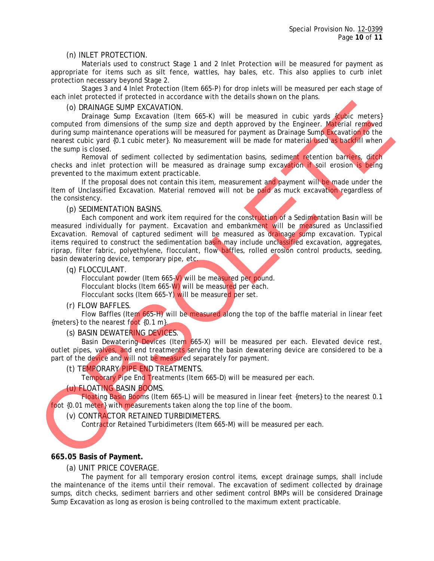## (n) INLET PROTECTION.

 Materials used to construct Stage 1 and 2 Inlet Protection will be measured for payment as appropriate for items such as silt fence, wattles, hay bales, etc. This also applies to curb inlet protection necessary beyond Stage 2.

 Stages 3 and 4 Inlet Protection (Item 665-P) for drop inlets will be measured per each stage of each inlet protected if protected in accordance with the details shown on the plans.

(o) DRAINAGE SUMP EXCAVATION.

Drainage Sump Excavation (Item 665-K) will be measured in cubic yards {cubic meters} computed from dimensions of the sump size and depth approved by the Engineer. Material removed during sump maintenance operations will be measured for payment as Drainage Sump Excavation to the nearest cubic yard {0.1 cubic meter}. No measurement will be made for material used as backfill when the sump is closed.

Removal of sediment collected by sedimentation basins, sediment retention barriers, ditch checks and inlet protection will be measured as drainage sump excavation if soil erosion is being prevented to the maximum extent practicable.

 If the proposal does not contain this item, measurement and payment will be made under the Item of Unclassified Excavation. Material removed will not be paid as muck excavation regardless of the consistency.

(p) SEDIMENTATION BASINS.

Each component and work item required for the construction of a Sedimentation Basin will be measured individually for payment. Excavation and embankment will be measured as Unclassified Excavation. Removal of captured sediment will be measured as drainage sump excavation. Typical items required to construct the sedimentation basin may include unclassified excavation, aggregates, riprap, filter fabric, polyethylene, flocculant, flow baffles, rolled erosion control products, seeding, basin dewatering device, temporary pipe, etc. (o) DRAINAGE SURFIP EXCAVATION<br>
Comparison first and the measured in cubic yards (given compared form of the sum and the material of the distribution of the sum and the material of the sum and the sum and the sum and the

(q) FLOCCULANT.

 Flocculant powder (Item 665-V) will be measured per pound. Flocculant blocks (Item 665-W) will be measured per each. Flocculant socks (Item 665-Y) will be measured per set.

(r) FLOW BAFFLES.

 Flow Baffles (Item 665-H) will be measured along the top of the baffle material in linear feet {meters} to the nearest foot {0.1 m}.

## (s) BASIN DEWATERING DEVICES.

 Basin Dewatering Devices (Item 665-X) will be measured per each. Elevated device rest, outlet pipes, valves, and end treatments serving the basin dewatering device are considered to be a part of the device and will not be measured separately for payment.

(t) TEMPORARY PIPE END TREATMENTS.

Temporary Pipe End Treatments (Item 665-D) will be measured per each.

## (u) FLOATING BASIN BOOMS.

 Floating Basin Booms (Item 665-L) will be measured in linear feet {meters} to the nearest 0.1 foot {0.01 meter} with measurements taken along the top line of the boom.

(v) CONTRACTOR RETAINED TURBIDIMETERS.

Contractor Retained Turbidimeters (Item 665-M) will be measured per each.

## **665.05 Basis of Payment.**

(a) UNIT PRICE COVERAGE.

 The payment for all temporary erosion control items, except drainage sumps, shall include the maintenance of the items until their removal. The excavation of sediment collected by drainage sumps, ditch checks, sediment barriers and other sediment control BMPs will be considered Drainage Sump Excavation as long as erosion is being controlled to the maximum extent practicable.